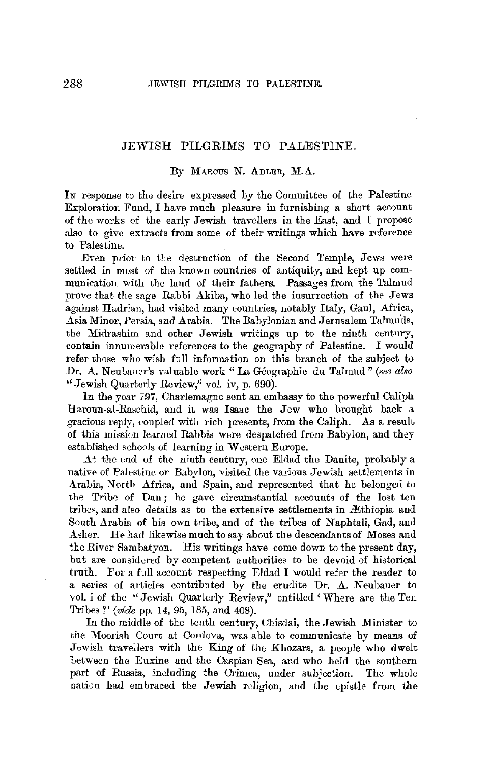## JEWISH PILGRIMS TO PALESTINE.

## By MARCUS N. ADLER, M.A.

In response to the desire expressed by the Committee of the Palestine Exploration Fund, I have much pleasure in furnishing a short account of the works of the early Jewish travellers in the East, and I propose also to give extracts from some of their writings which have reference to Palestine.

Even prior to the destruction of the Second Temple, Jews were settled in most of the known countries of antiquity, and kept up communication with the land of their fathers. Passages from the Talmud prove that the sage Rabbi Akiba, who led the insurrection of the Jews against Hadrian, had visited many countries, notably Italy, Gaul, Africa, Asia Minor, Persia, and Arabia. The Babylonian and Jerusalem Talmu'ds, the Midrashim and other Jewish writings up to the ninth century, contain innumerable references to the geography of Palestine. I would refer those who wish full information on this branch of the subject to Dr. A. Neubauer's valuable work "La Gcographie du Talmud" *(see also*  "Jewish Quarterly Review," vol. iv, p. 690).

In the year 797, Charlemagne sent an embassy to the powerful Caliph Haroun-al-Raschid, and it was Isaac the Jew who brought back a gracious reply, coupled with rich presents, from the Caliph. As a result of this mission learned Rabbis were despatched from Babylon, and they established schools of learning in Western Europe.

At the end of the ninth century, one Eldad the Danite, probably a native of Palestine or Babylon, visited the various Jewish settlements in Arabia, North Africa, and Spain, aud represented that he belonged to the Tribe of Dan; he gave circumstantial accounts of the lost ten tribes, and also details as to the extensive settlements in Æthiopia and South Arabia of his own tribe, and of the tribes of Naphtali, Gad, and Asher. He had likewise much to say about the descendants of Moses and the River Sambatyon. His writings have come down to the present day, but are considered by competent authorities to be devoid of historical truth. For a full account respecting Eldad I would refer the reader to a series of articles contributed by the erudite Dr. A. Neubauer to vol. i of the "Jewish Quarterly Review," entitled 'Where are the Ten Tribes *1' (vide* pp. 14, 95, 185, and 408).

In the middle of the tenth century, Chisdai, the Jewish Minister to the Moorish Court at Cordova, was able to communicate by means of Jewish travellers with the King of the Khozars, a people who dwelt between the Euxine and the Caspian Sea, and who held the southern part of Russia, including the Crimea, under subjection. The whole nation had embraced the Jewish religion, and the epistle from the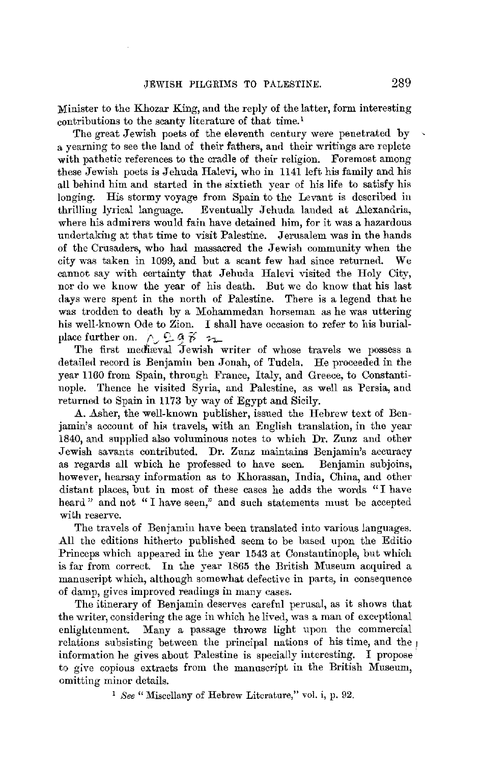Minister to the Khozar King, and the reply of the latter, form interesting contributions to the scanty literature of that time. <sup>1</sup>

The great Jewish poets of the eleventh century were penetrated by a yearning to see the land of their fathers, and their writings are replete with pathetic references to the cradle of their religion. Foremost among these Jewish poets is Jehuda Halevi, who in 1141 left his family and his all behind him and started in the sixtieth year of his life to satisfy his longing. His stormy voyage from Spain to the Levant is described in thrilling lyrical language. Eventually Jehuda landed at Alexandria, where his admirers would fain have detained him, for it was a hazardous undertaking at that time to visit Palestine. Jerusalem was in the hands of the Crusaders, who had massacred the Jewish community when the city was taken in 1099, and but a scant few had since returned. We cannot say with certainty that Jehuda Halevi visited the Holy City, nor do we know the year of his death. But we do know that his last days were spent in the north of Palestine. There is a legend that he was trodden to death by a Mohammedan horseman as he was uttering his well-known Ode to Zion. I shall have occasion to refer to his burialplace further on.  $\wedge$ , **2.**  $\alpha \not\sim \gamma$ 

The first mediaval Jewish writer of whose travels we possess a detailed record is Benjamin hen Jonah, of Tudela. He proceeded in the year 1160 from Spain, through France, Italy, and Greece, to Constantinople. Thence he visited Syria, and Palestine, as well as Persia, and returned to Spain in 1173 by way of Egypt and Sicily.

A. Asher, the well-known publisher, issued the Hebrew text of Benjamin's account of his travels, with an English translation, in the year 1840, and supplied also voluminous notes to which Dr. Zunz and other Jewish savants contributed. Dr. Zunz maintains Benjamin's accuracy as regards all which he professed to have seen. Benjamin subjoins, however, hearsay information as to Khorassan, India, China, and other distant places, but in most of these cases he adds the words "I have heard" and not "I have seen," and such statements must be accepted with reserve.

The travels of Benjamin have been translated into various languages. All the editions hitherto published seem to be based upon the Editio Princeps which appeared in the year 1543 at Constantinople, but which is far from correet. In the year 1865 the British Museum acquired a manuscript which, although somewhat defective in parts, in consequence of damp, gives improved readings in many cases.

The itinerary of Benjamin deserves careful perusal, as it shows that the writer, considering the age in which he lived, was a man of exceptional enlightenment. Many a passage throws light upon the commercial relations subsisting between the principal nations of his time, and the <sup>1</sup> information he gives about Palestine is specially interesting. I propose' to give copious extracts from the manuscript in the British Museum, omitting minor details.

1 *See* "Miscellany of Hebrew Literature," vol. i, p. 92.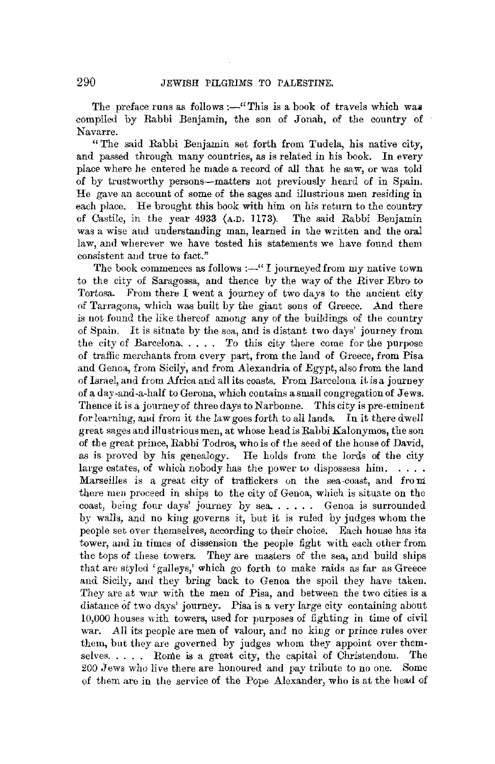The preface runs as follows : $-$ " This is a book of travels which was compiled by Rabbi Benjamin, the son of Jonah, of the country of Navarre.

"The said Rabbi Benjamin set forth from Tudela, his native city, and passed through many countries, as is related in his book. In every place where he entered he made a record of all that he saw, or was told of by trustworthy persons-matters not previously heard of in Spain. He gave an account of some of the sages and illustrious men residing in each place. He brought this book with him on his return to the country of Castile, in the year 4933 (A.D. 1173). The said Rabbi Benjamin was a wise and understanding man, learned in the written and the oral law, and wherever we have tested his statements we have found them consistent and true to fact."

The book commences as follows  $:$  " I journeyed from my native town to the city of Saragossa, and thence by the way of the River Ebro to Tortosa. From there I went a journey of two days to the ancient city of Tarragona, which was built by the giant sons of Greece. And there is not found the like thereof among any of the buildings of the country of Spain. It is situate by the sea, and is distant two days' journey from the city of Barcelona. . . . . To this city there come for the purpose of traffic merchants from every part, from the land of Greece, from Pisa and Genoa, from Sicily, and from Alexandria of Egypt, also from the land of Israel, and from Africa and all its coasts. From Barcelona it is a journey of a day-and-a-half to Gerona, which contains a small congregation of Jews. Thence it is a journey of three days to Narbonne. This city is pre-eminent for learning, and from it the law goes forth to all lands. In it there dwell great sages and illustrious men, at whose head is Rabbi Kalonymos, the son of the great prince, Rabbi Todros, who is of the seed of the house of David, as is proved by his genealogy. He holds from the lords of the city large estates, of which nobody has the power to dispossess him. . . . . Marseilles is a great city of traffickers on the sea-coast, and fro ni there men proceed in ships to the city of Genoa, which is situate on the coast, being four days' journey by sea. . . . . . Genoa is surrounded by walls, and no king governs it, but it is ruled by judges whom the people set over themselves, according to their choice. Each house has its tower, and in times of dissension the people fight with each other from the tops of these towers. They are masters of the sea, and· build ships that are styled 'galleys,' which go forth to make raids as far as Greece and Sicily, and they bring back to Genoa the spoil they have taken. They are at war with the men of Pisa, and between the two cities is a distance of two days' journey. Pisa is a very large city containing about 10,000 houses with towers, used for purposes of fighting in time of civil war. All its people are men of valour, and no king or prince rules over them, but they are governed by judges whom they appoint over themselves.  $\ldots$ . Rome is a great city, the capital of Christendom. The *200* Jews who live there are hououred and pay tribute to no one. Some of them are in the service of the Pope Alexander, who is at the head of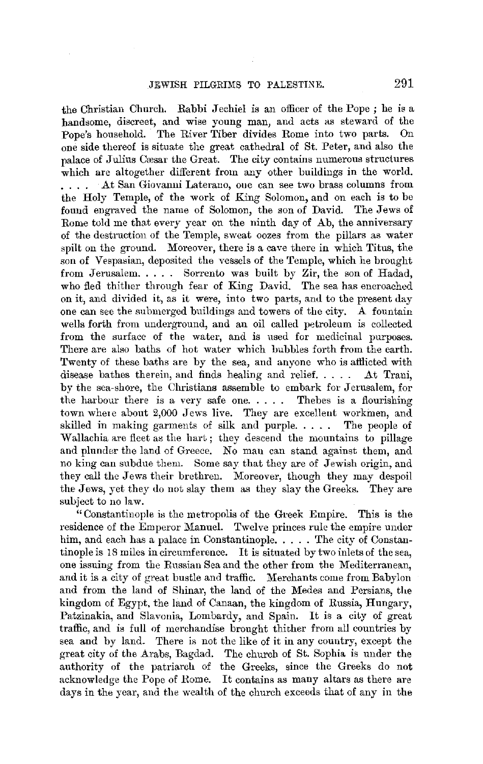the Christian Church. Rabbi Jechiel is an officer of the Pope; he is a handsome, discreet, and wise young man, and acts as steward of the Pope's household. The River Tiber divides Rome into two parts. On one side thereof is situate the great cathedral of St. Peter, and also the palace of Julius Cæsar the Great. The city contains numerous structures which are altogether different from any other buildings in the world. At San Giovanni Laterano, oue can see two brass columns from  $\ldots$ the Holy Temple, of the work of King Solomon, and on each is to be found engraved the name of Solomon, the son of David. The Jews of Rome told me that every year on the ninth day of Ab, the anniversary of the destruction of the Temple, sweat oozes from the pillars as water spilt on the ground. Moreover, there is a cave there in which Titus, the son of Vespasian, deposited the vessels of the Temple, which he brought from Jerusalem.  $\ldots$ . Sorrento was built by Zir, the son of Hadad, who fled thither through fear of King David. The sea has encroached on it, and divided it, as it were, into two parts, and to the present day one can see the submerged buildings and towers of the city. A. fountain wells forth from underground, and an oil called petroleum is collected from the surface of the water, and is nsed for medicinal purposes. There are also baths of hot water which bubbles forth from the earth. Twenty of these baths are by the sea, and anyone who is affiicted with disease bathes therein, and finds healing and relief. . . . . At Trani, by the sea-shore, the Christians assemble to embark for Jerusalem, for the harbour there is a very safe one.  $\ldots$ . The best is a flourishing town where about 2,000 Jews live. They are excellent workmen, and skilled in making garments of silk and purple. . . . . The people of Wallachia are fleet as the hart ; they descend the mountains to pillage and plunder the land of Greece. No man can stand against them, and no king can subdue them. Some say that they are of Jewish origin, and they call the Jews their brethren. Moreover, though they may despoil the Jews, yet they do not slay them as they slay the Greeks. They are subject to no law.

"Constantinople is the metropolis of the Greek Empire. This is the residence of the Emperor Manuel. Twelve princes rule the empire under him, and each has a palace in Constantinople..... The city of Constantinople is 18 miles in circumference. It is situated by two inlets of the sea, one issuing from the Russian Sea and the other from the Mediterranean, and it is a city of great bustle and traffic. Merchants come from Babylon and from the land of Shinar, the land of the Medes and Persians, the kingdom of Egypt, the land of Canaan, the kingdom of Russia, Hungary, Patzinakia, and Slavonia, Lombardy, and Spain. It is a city of great traffic, and is full of merchandise brought thither from all countries by sea and by land. There is not the like of it in any country, except the great city of the Arabs, Bagdad. The church of St. Sophia is under the authority of the patriarch of the Greeks, since the Greeks do not acknowledge the Pope of Rome. It contains as many altars as there are days in the year, and the wealth of the church exceeds that of any in the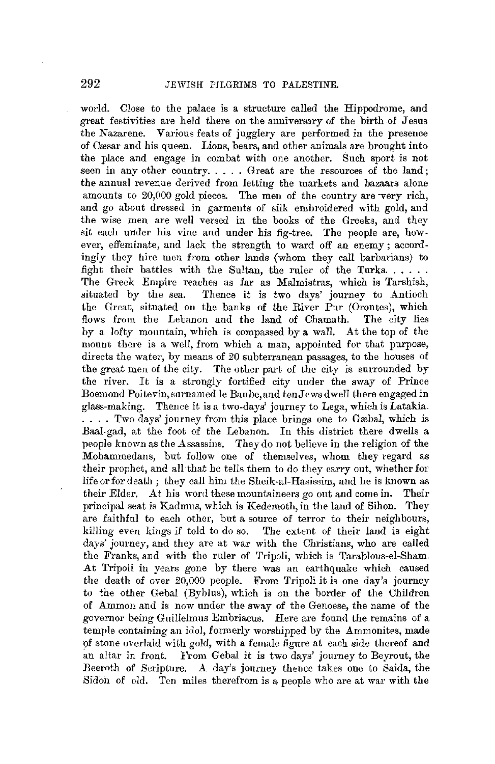world. Close to the palace is a structure called the Hippodrome, and great festivities are held there on the anniversary of the birth 0£ Jesus the Nazarene. Various feats of jugglery are performed in the presence of Cresar and his queen. Lions, bears, and other animals are brought into the place and engage in combat with one another. Such sport is not seen in any other country.... Great are the resources of the land: the annual revenue derived from letting the markets and bazaars alone amounts to 20,000 gold pieces. The men of the country are very rich, and go about dressed in garments of silk embroidered with gold, and the wise men are well versed in the books of the Greeks, and they sit each under his vine and under his fig-tree. The people are, however, effeminate, and lack the strength to ward off an enemy; accordingly they hire men from other lands (whom they call barbarians) to fight their battles with the Sultan, the ruler of the Turks...... The Greek Empire reavhes as far as Malmistras, which is Tarshish, Thence it is two days' journey to Antioch the Great, situated on the banks of the River Pur (Orontes), which<br>flows from the Lebanon and the land of Chamath. The city lies flows from the Lebanon and the land of Chamath. by a lofty mountain, which is compassed by a wall. At the top of the mount there is a well, from which a man, appointed for that purpose, directs the water, by means of *20* subterranean passages, to the houses of the great men of the city. The other part of the city is surrounded *by*  the river. It is a strongly fortified city under the sway of Prince Boemond Poitevin, surnamed le Baube, and tenJews dwell there engaged in glass-making. Thence it is a two-days' journey to Lega, which is Latakia. . . . . Two days' journey from this place brings one to Grebal, which is Baal-gad, at the foot of the Lebanon. In this district there dwells a people known as the Assassins. They do not believe in the religion of the Mohammedans, but follow one of themselves, whom they regard as their prophet, and all that he tells them to do they carry out, whether for life or for death ; they call him the Sheik-al-Hasissim, and he is known as their Elder. At his word these mountaineers go out and come in. Their principal seat is Kadmns, which is Kedemoth, in the land of Sihon. They are faithful to each other, but a source of terror to their neighbours,<br>killing even kings if told to do so. The extent of their land is eight The extent of their land is eight days' journey, and they are at war with the Christians, who are called the Franks, and with the ruler of Tripoli, which is Tarablous-el-Sham. At Tripoli in years gone by there was an earthquake which caused the death of over *20,000* people. From Tripoli it is one day's journey to the other Gebal (Byblus), which is on the border of the Children of Ammon and is now under the sway of the Genoese, the name of the governor being Gnillelmns Embriacus. Here are found the remains of a temple containing an idol, formerly worshipped by the Ammonites, made 9f stone overlaid with gold, with a female figure at each side thereof and an altar in front. From Gebal it is two days' journey to Beyrout, the Beeroth of Scripture. A day's journey thence takes one to Saida, the Sidon of old. Ten miles therefrom is a people who are at war with the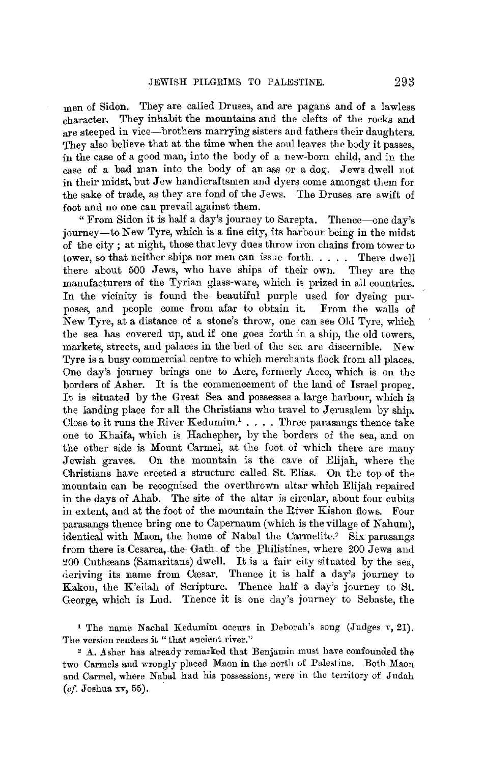men of Sidon. They are called Druses, and are pagans and of a lawless character. They inhabit the mountains and the clefts of the rocks and are steeped in vice-brothers marrying sisters and fathers their daughters. They also believe that at the time when the soul leaves the body it passes, in the case of a good man, into the body of a new-born child, and in the case of a bad man into the body of an ass or a dog. Jews dwell not in their midst, but Jew handicraftsmen and dyers come amongst them for the sake of trade, as they are fond of the Jews. The Druses are swift of foot and no one can prevail against them.

" From Sidon it is half a day's journey to Sarepta. Thence-one day's journey-to New Tyre, which is a fine city, its harbour being in the midst of the city ; at night, those that levy dues throw iron chains from tower to tower, so that neither ships nor men can issue forth. . . . . There dwell there about 500 Jews, who have ships of their own. They are the manufacturers of the Tyrian glass-ware, which is prized in all countries. In the vicinity is found the beautiful purple used for dyeing purposes, and people come from afar to obtain it. From the walls of New Tyre, at a distance of a stone's throw, one can see Old Tyre, which the sea has covered up, and if one goes forth in a ship, the old towers, markets, streets, and palaces in the bed of the sea are discernible. New Tyre is a busy commercial centre to which merchants flock from all places. One day's journey brings one to Acre, formerly Acco, which is on the borders of Asher. It is the commencement of the land of Israel proper. It is situated by the Great Sea and possesses a large harbour, which is the landing place for all the Christians who travel to Jerusalem by ship. Close to it runs the River Kedumim.<sup>1</sup> .  $\dots$  Three parasangs thence take one to Khaifa, which is Hachepher, by the borders of the sea, and on the other side is Mount Carmel, at the foot of which there are many Jewish graves. On the mountain is the cave of Elijah, where the Christians have erected a structure called St. Elias. On the top of the mountain can be recognised the overthrown altar which Elijah repaired in the days of Ahab. The site of the altar is circular, about four cubits in extent, and at the foot of the mountain the River Kishon flows. Four parasangs thence bring one to Capernaum (which is the village of Nahum), identical with Maon, the home of Nabal the Carmelite.<sup>2</sup> Six parasangs from there is Cesarea, the Gath of the Philistines, where 200 Jews and 200 Cutheans (Samaritans) dwell. It is a fair city situated by the sea, deriving its name from Cæsar. Thence it is half a day's journey to Kakon, the K'eilah of Scripture. Thence half a day's journey to St. George, which is Lud. Thence it is one day's journey to Sebaste, the

<sup>1</sup> The name Nachal Kedumim occurs in Deborah's song (Judges v, 21). The version renders it "that ancient river."

<sup>&</sup>lt;sup>2</sup> A. Asher has already remarked that Benjamin must have confounded the two Carmels and wrongly placed Maon in the north of Palestine. Both Maon and Carmel, where Nabal had his possessions, were in the territory of Judah *(ef.* Joshua xv, 55). ·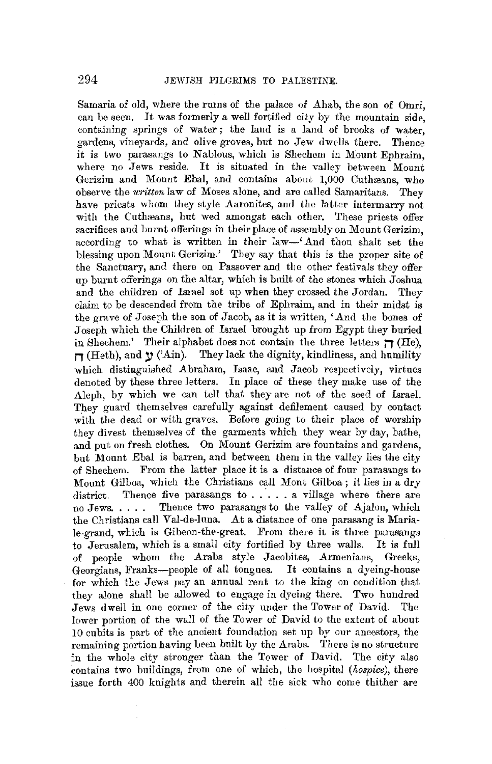Samaria of old, where the rums of the palace of Ahab, the son of Omri, can be seen. It was formerly a well fortified city by the mountain side, containing springs of water; the laud is a land of brooks of water, gardens, vineyards, and olive groves, but no Jew dwells there. Thence it is two parasangs to Nablous, which is Shechem in Mount Ephraim, where no Jews reside. It is situated in the valley between Mount Gerizim and Mount Ebal, and contains about 1,000 Cutheans, who observe the *written* law of Moses alone, and are called Samaritans. They have priests whom they style Aaronites, and the latter intermarry not with the Cuthæans, but wed amongst each other. These priests offer sacrifices and burnt offerings in their place of assembly on Mount Gerizim, according to what is written in their law-' And thou shalt set the blessing upon Mount Gerizim.' They say that this is the proper site of the Sanctuary, and there on Passover and tlie other festivals they offer up burnt offerings on the altar, which is built of the stones which Joshua and the children of Israel set up when they crossed the Jordan. They claim to be descended from the tribe of Ephraim, and in their midst is the grave of Joseph the son of Jacob, as it is written, 'And the bones of Joseph which the Children of Israel brought up from Egypt they buried in Shechem.' Their alphabet does not contain the three letters  $\sqcap$  (He),  $\Box$  (Heth), and  $\Upsilon$  ('Ain). They lack the dignity, kindliness, and humility which distinguished Abraham, Isaac, and Jacob respectively, virtues denoted by these three letters, In place of these they make use of the Aleph, by which we can tell that they are not of the seed of Israel. They guard themselves carefully against defilement caused by contact with the dead or with graves. Before going to their place of worship they divest themselves of the garments which they wear by day, bathe, and put on fresh clothes. On Mount Gerizim are fountains and gardens, but Mount Ebal is barren, and between them in the valley lies the city of Shechern. From the latter place it is a distance of four parasangs to Mount Gilboa, which the Christians call Mont Gilboa; it lies in a dry district. Thence five parasangs to  $\dots$  a village where there are no Jews.  $\dots$  Thence two parasangs to the valley of Ajalon, which Thence two parasangs to the valley of Ajalon, which the Christians call Val-de-lnna. At a distance of one parasang is Mariale-grand, which is Gibeon-the-great. From there it is three parasaugs to Jerusalem, which is a small city fortified by three walls. It is full of people whom the Arabs style Jacobites, Armenians, Greeks, Georgians, Franks-people of all tongues. It contains a dyeing-house for which the Jews pay an annual rent to the king on condition that they alone shall be allowed to engage in dyeing there, Two hundred Jews dwell in one corner of the city under the Tower of David. The lower portion of the wall of the Tower of David to the extent of about 10 cubits is part of the ancient foundation set up by our ancestors, the remaining portion having been built by the Arabs. There is no structure in the whole city stronger than the Tower of David. The city also contains two buildings, from one of which, the hospital *(hospice),* there issue forth 400 knights and therein all the sick who come thither are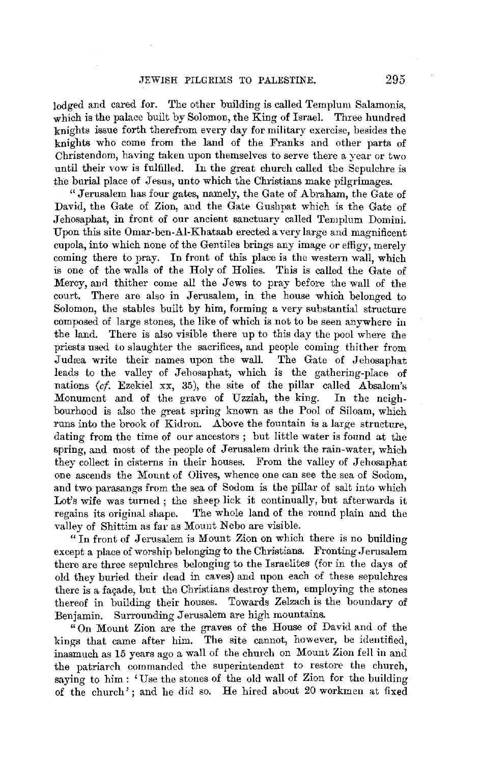lodged and cared for. The other building is called Templum Salamonis, which is the palace built by Solomon, the King of Israel. Three hundred knights issue forth therefrom every day for military exercise, besides the knights who come from the land of the Franks and other parts of Christendom, having taken upon themselves to serve there a year or two until their vow is fulfilled. In the great church called the Sepulchre is the bnrial place of Jesus, unto which the Christians make pilgrimages.

"Jerusalem has four gates, namely, the Gate of Abraham, the Gate of David, the Gate of Zion, and the Gate Gushpat which is the Gate of Jehosaphat, in front of our ancient sanctuary called Templum Domini. Upon this site Omar-ben-Al-Khataab erected a very large and magnificent cupola, into which none of the Gentiles brings any image or effigy, merely coming there to pray. In front of this place is the western wall, which is one of the walls of the Holy of Holies. This is called the Gate of Mercy, and thither come all the Jews to pray before the wall of the court. There are also in Jerusalem, in the house which belonged to Solomon, the stables built by him, forming a very substantial structure composed of large stones, the like of which is not to be seen anywhere in the land. There is also visible there up to this day the pool where the priests used to slaughter the sacrifices, and people coming thither from Judæa write their names upon the wall. The Gate of Jehosaphat leads to the valley of Jehosaphat, which is the gathering-place of nations *(cf.* Ezekiel xx, 35), the site of the pillar called Absalom's Monument and of the grave of Uzziah, the king. In the neighbourhood is also the great spring known as the Pool of Siloam, which runs into the brook of Kidron. Above the fountain is a large structure, dating from the time of our ancestors; but little water is found at the spring, and most of the people of Jerusalem drink the rain-water, which they collect in cisterns in their houses. From the valley of Jehosaphat one ascends the Mount of Olives, whence one can see the sea of Sodom, and two parasangs from the sea of Sodom is the pillar of salt into which Lot's wife was turned ; the sheep lick it continually, but afterwards it regains its original shape. The whole land of the round plain and the valley of Shittim as far as Mount Nebo are visible.

"In front of Jerusalem is Mount Zion on which there is no building except a place of worship belonging to the Christians. Fronting Jerusalem there are three sepulchres belonging to the Israelites (for in the days of old they buried their dead in caves) and upon each of these sepulchres there is a façade, but the Christians destroy them, employing the stones thereof in building their houses. Towards Zelzach is the boundary of Benjamin. Surrounding Jerusalem are high mountains.

"On Mount Zion are the graves of the House of David and of the kings that came after him. The site cannot, however, be identified, inasmuch as 15 years ago a wall of the church on Mount Zion fell in and the patriarch commanded the superintendent to restore the church, saying to him : 'Use the stones of the old wall of Zion for the building of the church'; and he did so. He hired about 20 workmen at fixed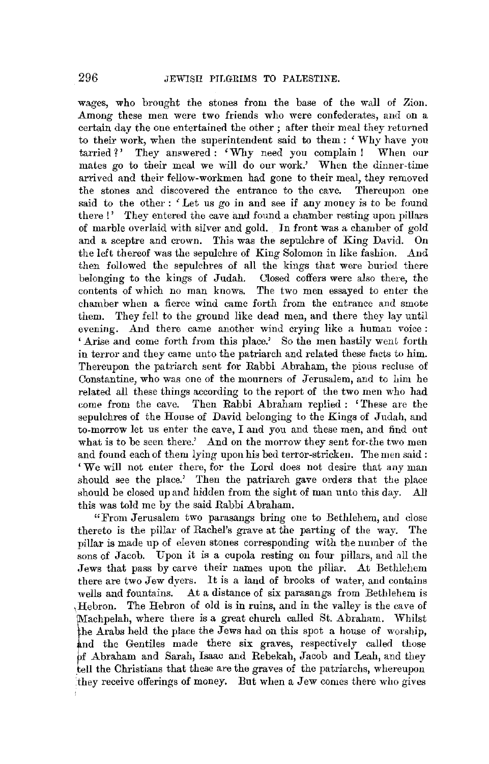wages, who brought the stones from the base of the wall of Zion. Among these men were two friends who were confederates, and on a certain day the one entertained the other ; after their meal they returned to their work, when the superintendent said to them : 'Why have you tarried ?' They answered : 'Why need you complain ! When our tarried ?' They answered: 'Why need you complain ! mates go to their meal we will do our work.' When the dinner-time arrived and their fellow-workmen had gone to their meal, they removed the stones and discovered the entrance to the cave. Thereupon one the stones and discovered the entrance to the cave. said to the other : 'Let us go in and see if any money is to be found there!' They entered the cave and found a chamber resting upon pillars of marble overlaid with silver and gold. Jn front was a chamber of gold and a sceptre and crown. This was the sepulchre of King David. On the left thereof was the sepulchre of King Solomon in like fashion. And then followed the sepulchres of all the kings that were buried there belonging to the kings of Judah. Closed coffers were also them, the contents of which no man knows. The two men essayed to enter the chamber when a fierce wind came forth from the entrance and smote them. They fell to the ground like dead men, and there they lay until evening. And there came another wind crying like a human voice: 'Arise and come forth from this place.' So the men hastily went forth in terror and they came unto the patriarch and related these facts to him. Thereupon the patriarch sent for Rabbi Abraham, the pious recluse of Constantine, who was one of the mourners of Jerusalem, and to him be related all these things according to the report of the two men who had come from the cave. Then Rabbi Abraham replied : 'These are the sepulchres of the House of David belonging to the Kings of Judah, and to-morrow let us enter the cave, I and you and these men, and find out what is to be seen there.' And on the morrow they sent for.the two men and found each of them lying upon bis bed terror-stricken. The men said : 'We will not enter there, for the Lord does not desire that any man should see the place.' Then the patriarch gave orders that the place should be closed up and hidden from the sight of man unto this day. All this was told me by the said Rabbi Abraham.

"From Jerusalem two parasangs bring one to Bethlehem, and close thereto is the pillar of Rachel's grave at the parting of the way. The pillar is made up of eleven stones corresponding with the number of the sons of Jacob. Upon it is a cupola resting on four pillars, and all the Jews that pass by carve their names upon the pillar. At Bethlehem there are two Jew dyers. It is a land of brooks of water, and contains wells and fountains. At a distance of six parasangs from Bethlehem is ,Hebron\_ The Hebron of old is in ruins, and in the valley is the cave of  $\begin{array}{l} \text{Meol} \ \text{the} \ A \ \text{and} \ \text{of} \ \ A \end{array}$ Machpelah, where there is a great church called St. Abraham. Whilst the Arabs held the place the Jews had on this spot a house of worship, d the Gentiles made there six graves, respectively called those pf Abraham and Sarah, Isaac and Rebekah, Jacob and Leah, and they tell the Christians that these are the graves of the patriarchs, whereupon :they receive offerings of money. But when a Jew comes there who gives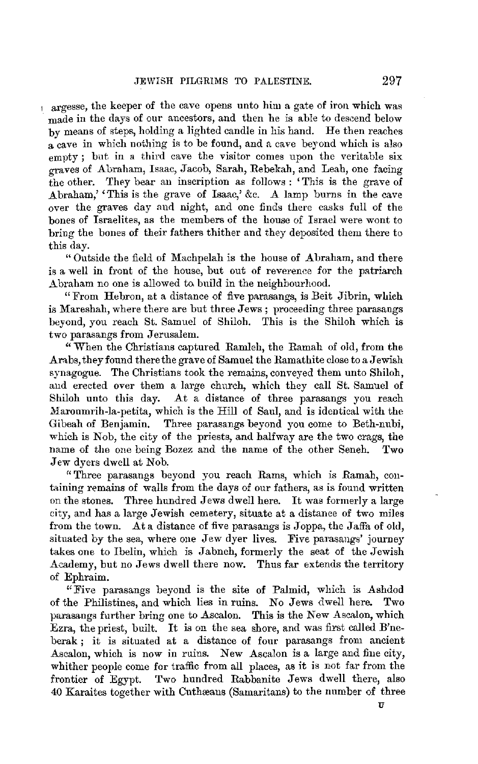$_{1}$  argesse, the keeper of the cave opens unto him a gate of iron which was made in the days of our ancestors, and then he is able to descend below by means of steps, holding a lighted candle in his hand. He then reaches a cave in which nothing is to be found, and a cave beyond which is also empty; but in a third cave the visitor comes upon the veritable six graves of Abraham, Isaac, Jacob, Sarah, Rebekah, and Leah, one facing the other. They bear au inscription as follows : 'This is the grave of Abraham,' 'This is the grave of Isaac,' &c. A lamp burns in the cave over the graves day and night, and one finds there casks full of the bones of Israelites, as the members of the house of Israel were wont to bring the bones of their fathers thither and they deposited them there to this day.

"Outside the field of Machpelah is the house of Abraham, and there is a well in front of the house, but out of reverence for the patriarch Abraham no one is allowed to build in the neighbourhood.

"From Hebron, at a distance of five parasangs, is Beit Jibrin, which is Mareshah, where there are but three Jews; proceeding three parasangs beyond, you reach St. Samuel of Shiloh. This is the Shiloh which is two parasangs from Jerusalem.

"When the Christians captured Ramleh, the Ramah of old, from the Arabs, they found there the grave of Samuel the Ramathite close to a Jewish synagogue. The Christians took the remains, conveyed them unto Shiloh, and erected over them a large church, which they call St. Samuel of Shiloh unto this day. At a distance of three parasangs you reach Maroumrih-la-petita, which is the Hill of Saul, and is identical with the Gibeah of Benjamin. Three parasangs beyond you come to Beth-nubi, which is Nob, the city of the priests, and halfway are the two crags, the name of the one being Bozez and the name of the other Seneh. **Two**  Jew dyers dwell at Nob.

"Three parasangs beyond you reach Rams, which is Ramah, containing remains of walls from the days of our fathers, as is found written on the stones. Three hundred Jews dwell here. It was formerly a large city, and has a large Jewish cemetery, situate at a distance of two miles from the town. At a distance of five parasangs is Joppa, the Jaffa of old, situated by the sea, where one Jew dyer lives. Five parasangs' journey takes one to Ibelin, which is Jabneh, formerly the seat of the Jewish Academy, but no Jews dwell there now. Thus far extends the territory of Ephraim.

"Five parasangs beyond is the site of Palmid, which is Ashdod of the Philistines, and which lies in ruins. *No* Jews dwell here. Two parasangs further bring one to Ascalon. This is the New Ascalon, which Ezra, the priest, built. It is on the sea shore, and was first called B'neberak ; it is situated at a distance of four parasangs from ancient Ascalon, which is now in ruins. New Ascalon is a large and fine city, whither people come for traffic from all places, as it is not far from the frontier of Egypt. Two hundred Rabbanite Jews dwell there, also 40 Karaites together with Cuthæans (Samaritans) to the number of three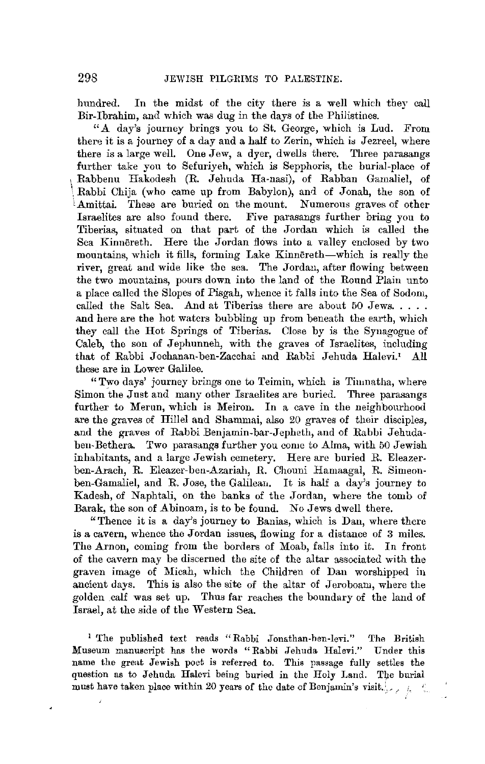hundred. In the midst of the city there is a well which they call Bir-Ibrahim, and which was dug in the days of the Philistines.

"A day's journey brings you to St. George, which is Lud. From there it is a journey of a day and a half to Zerin, which is Jezreel, where there is a large well. One Jew, a dyer, dwells there. Three parasangs further take yon to Sefuriyeh, which is Sepphoris, the burial-place of Rabbenu Hakodesh (R. Jehuda Ha-nasi), of Rabban Gamaliel, of Rabbi Chija (who came up from Babylon), and of Jonah, the son of  $\Lambda$ mittai. These are buried on the mount. Numerous graves of other Israelites are also found there. Five parasangs further bring you to Tiberias, situated on that part of the Jordan which is called the Sea Kinuereth. Here the Jordan flows into a valley enclosed by two mountains, which it fills, forming Lake Kinnereth-which is really the river, great and wide like the sea. The Jordan, after flowing between the two mountains, pours down into the land of the Round Plain unto a place called the Slopes of Pisgah, whence it falls into the Sea of Sodom, called the Salt Sea. And at Tiberias there are about 50 Jews..... and here are the hot waters bubbling up from beneath the earth, which they call the Hot Springs of Tiberias. Close by is the Synagogue of Caleb, the son of Jephunneh, with the graves of Israelites, including that of Rabbi Jochanan-ben-Zacchai and Rabbi Jehuda Halevi.<sup>1</sup> All these are in Lower Galilee.

"Two days' journey brings one to Teimin, which is Tiunatha, where Simon the Just and many other Israelites are buried. Three parasangs further to Merun, which is Meiron. In a cave in the neighbourhood are the graves of Hillel and Shammai, also 20 graves of their disciples, and the graves of Rabbi Benjamin-bar-Jepheth, and of Rabbi Jehudaben-Bethera. Two parasangs further you come to Alma, with 50 Jewish inhabitants, and a large Jewish cemetery. Here are buried R. Eleazerben-Arach, R. Eleazer-ben-Azariah, R. Chouni Hamaagal, R. Simeonben-Gamaliel, and R. Jose, the Galilean. It is half a day's journey to Kadesh, of Naphtali, on the banks of the Jordan, where the tomb of Barak, the son of Abinoam, is to be found. No Jews dwell there.

"Thence it is a day's journey to Banias, which is Dan, where there is a cavern, whence the Jordan issues, flowing for a distance of 3 miles. The Arnon, coming from the borders of Moab, falls into it. In front of the cavern may be discerned the site of the altar associated with the graven image of Micah, which the Children of Dan worshipped in ancient days. This is also the site of the altar of Jeroboam, where the golden calf was set up. Thus far reaches the boundary of the land of Israel, at the side of the Western Sea.

<sup>1</sup> The published text reads "Rabbi Jonathan-hen-levi." The British Museum manuscript has the words "Rabbi Jehuda Halevi." Under this name the great Jewish poet is referred to. This passage fully settles the question as to Jehuda Halevi being buried in the Holy Land. The burial must have taken place within 20 years of the date of Benjamin's visit.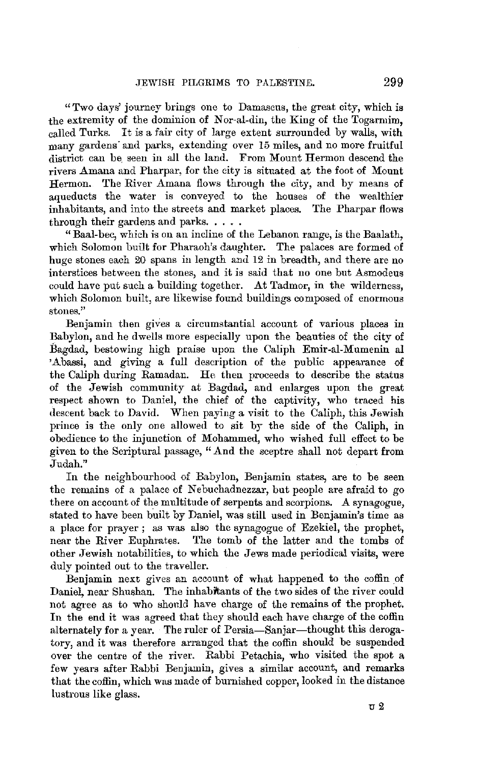"Two days' journey brings one to Damascus, the great city, which is the extremity of the dominion of Nor-al-din, the King of the Togarmim, called Turks. It is a fair city of large extent surrounded by walls, with many gardens· and parks, extending over 15 miles, and no more fruitful district can be, seen in all the land. From Mount Hermon descend the rivers Amana and Pharpar, for the city is situated at the foot of Mount Hermon. The River Amana flows through the city, and by means of aqueducts the water is conveyed to the houses of the wealthier inhabitants, and into the streets and market places. The Pharpar flows through their gardens and parks. . . . .

"Baal-bee, which is on an incline of the Lebanon range, is the Baalath, which Solomon built for Pharaoh's daughter. The palaces are formed of huge stones each 20 spans in length and 12 in breadth, and there are no interstices between the stones, and it is said that no one but Asmodeus could have put such a building together. At Tadmor, in the wilderness, which Solomon built, are likewise found buildings composed of enormous stones."

Benjamin then gives a circumstantial account of various places in Babylon, and he dwells more especially upon the beauties of the city of Bagdad, bestowing high praise upon the Caliph Emir-al-Mumenin al •Abassi, and giving a full description of the public appearance of the Caliph during Ramadan. He then proceeds to describe the status of the Jewish community at Bagdad, and enlarges upon the great respect shown to Daniel, the chief of the captivity, who traced his descent back to David. When paying a visit to the Caliph, this Jewish prince is the only one allowed to sit by the side of the Caliph, in obedience to the injunction of Mohammed, who wished full effect to be given to the Scriptural passage, "And the sceptre shall not depart from Judah."

In the neighbourhood of Babylon, Benjamin states, are to be seen the remains of a palace of Nebuchadnezzar, but people are afraid to go there on account of the multitude of serpents and scorpions. A synagogue, stated to have been built by Daniel, was still used in Benjamin's time as a place for prayer ; as was also the synagogue of Ezekiel, the prophet, near the River Euphrates. The tomb of the latter and the tombs of other Jewish notabilities, to which the Jews made periodical visits, were duly pointed out to the traveller.

Benjamin next gives an account of what happened to the coffin of Daniel, near Shushan. The inhabitants of the two sides of the river could not agree as to who shonld have charge of the remains of the prophet. In the end it was agreed that they should each have charge of the coffin alternately for a year. The ruler of Persia—Sanjar—thought this derogatory, and it was therefore arranged that the coffin should be suspended over the centre of the river. Rabbi Petachia, who visited the spot a few years after Rabbi Benjamin, gives a similar account, and remarks that the coffin, which was made of burnished copper, looked in the distance lustrous like glass.